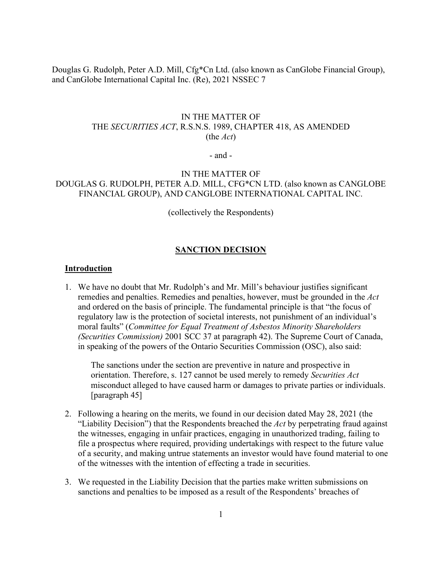Douglas G. Rudolph, Peter A.D. Mill, Cfg\*Cn Ltd. (also known as CanGlobe Financial Group), and CanGlobe International Capital Inc. (Re), 2021 NSSEC 7

## IN THE MATTER OF THE *SECURITIES ACT*, R.S.N.S. 1989, CHAPTER 418, AS AMENDED (the *Act*)

- and -

# IN THE MATTER OF DOUGLAS G. RUDOLPH, PETER A.D. MILL, CFG\*CN LTD. (also known as CANGLOBE FINANCIAL GROUP), AND CANGLOBE INTERNATIONAL CAPITAL INC.

(collectively the Respondents)

## **SANCTION DECISION**

#### **Introduction**

1. We have no doubt that Mr. Rudolph's and Mr. Mill's behaviour justifies significant remedies and penalties. Remedies and penalties, however, must be grounded in the *Act* and ordered on the basis of principle. The fundamental principle is that "the focus of regulatory law is the protection of societal interests, not punishment of an individual's moral faults" (*Committee for Equal Treatment of Asbestos Minority Shareholders (Securities Commission)* 2001 SCC 37 at paragraph 42). The Supreme Court of Canada, in speaking of the powers of the Ontario Securities Commission (OSC), also said:

The sanctions under the section are preventive in nature and prospective in orientation. Therefore, s. 127 cannot be used merely to remedy *Securities Act*  misconduct alleged to have caused harm or damages to private parties or individuals. [paragraph 45]

- 2. Following a hearing on the merits, we found in our decision dated May 28, 2021 (the "Liability Decision") that the Respondents breached the *Act* by perpetrating fraud against the witnesses, engaging in unfair practices, engaging in unauthorized trading, failing to file a prospectus where required, providing undertakings with respect to the future value of a security, and making untrue statements an investor would have found material to one of the witnesses with the intention of effecting a trade in securities.
- 3. We requested in the Liability Decision that the parties make written submissions on sanctions and penalties to be imposed as a result of the Respondents' breaches of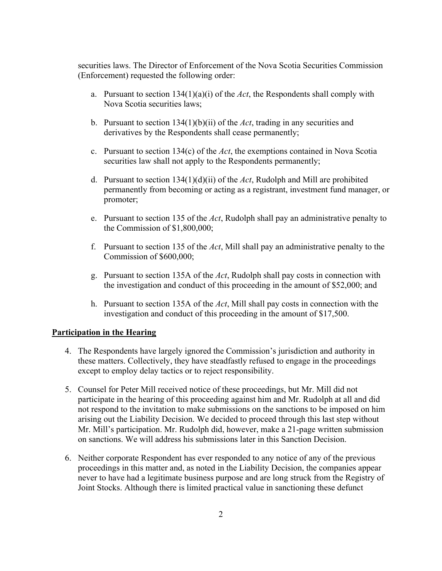securities laws. The Director of Enforcement of the Nova Scotia Securities Commission (Enforcement) requested the following order:

- a. Pursuant to section 134(1)(a)(i) of the *Act*, the Respondents shall comply with Nova Scotia securities laws;
- b. Pursuant to section 134(1)(b)(ii) of the *Act*, trading in any securities and derivatives by the Respondents shall cease permanently;
- c. Pursuant to section 134(c) of the *Act*, the exemptions contained in Nova Scotia securities law shall not apply to the Respondents permanently;
- d. Pursuant to section 134(1)(d)(ii) of the *Act*, Rudolph and Mill are prohibited permanently from becoming or acting as a registrant, investment fund manager, or promoter;
- e. Pursuant to section 135 of the *Act*, Rudolph shall pay an administrative penalty to the Commission of \$1,800,000;
- f. Pursuant to section 135 of the *Act*, Mill shall pay an administrative penalty to the Commission of \$600,000;
- g. Pursuant to section 135A of the *Act*, Rudolph shall pay costs in connection with the investigation and conduct of this proceeding in the amount of \$52,000; and
- h. Pursuant to section 135A of the *Act*, Mill shall pay costs in connection with the investigation and conduct of this proceeding in the amount of \$17,500.

### **Participation in the Hearing**

- 4. The Respondents have largely ignored the Commission's jurisdiction and authority in these matters. Collectively, they have steadfastly refused to engage in the proceedings except to employ delay tactics or to reject responsibility.
- 5. Counsel for Peter Mill received notice of these proceedings, but Mr. Mill did not participate in the hearing of this proceeding against him and Mr. Rudolph at all and did not respond to the invitation to make submissions on the sanctions to be imposed on him arising out the Liability Decision. We decided to proceed through this last step without Mr. Mill's participation. Mr. Rudolph did, however, make a 21-page written submission on sanctions. We will address his submissions later in this Sanction Decision.
- 6. Neither corporate Respondent has ever responded to any notice of any of the previous proceedings in this matter and, as noted in the Liability Decision, the companies appear never to have had a legitimate business purpose and are long struck from the Registry of Joint Stocks. Although there is limited practical value in sanctioning these defunct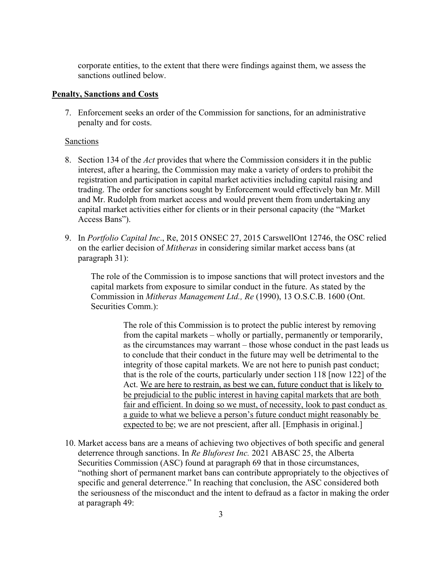corporate entities, to the extent that there were findings against them, we assess the sanctions outlined below.

### **Penalty, Sanctions and Costs**

7. Enforcement seeks an order of the Commission for sanctions, for an administrative penalty and for costs.

### Sanctions

- 8. Section 134 of the *Act* provides that where the Commission considers it in the public interest, after a hearing, the Commission may make a variety of orders to prohibit the registration and participation in capital market activities including capital raising and trading. The order for sanctions sought by Enforcement would effectively ban Mr. Mill and Mr. Rudolph from market access and would prevent them from undertaking any capital market activities either for clients or in their personal capacity (the "Market Access Bans").
- 9. In *Portfolio Capital Inc*., Re, 2015 ONSEC 27, 2015 CarswellOnt 12746, the OSC relied on the earlier decision of *Mitheras* in considering similar market access bans (at paragraph 31):

The role of the Commission is to impose sanctions that will protect investors and the capital markets from exposure to similar conduct in the future. As stated by the Commission in *Mitheras Management Ltd., Re* (1990), 13 O.S.C.B. 1600 (Ont. Securities Comm.):

> The role of this Commission is to protect the public interest by removing from the capital markets – wholly or partially, permanently or temporarily, as the circumstances may warrant – those whose conduct in the past leads us to conclude that their conduct in the future may well be detrimental to the integrity of those capital markets. We are not here to punish past conduct; that is the role of the courts, particularly under section 118 [now 122] of the Act. We are here to restrain, as best we can, future conduct that is likely to be prejudicial to the public interest in having capital markets that are both fair and efficient. In doing so we must, of necessity, look to past conduct as a guide to what we believe a person's future conduct might reasonably be expected to be; we are not prescient, after all. [Emphasis in original.]

10. Market access bans are a means of achieving two objectives of both specific and general deterrence through sanctions. In *Re Bluforest Inc.* 2021 ABASC 25, the Alberta Securities Commission (ASC) found at paragraph 69 that in those circumstances, "nothing short of permanent market bans can contribute appropriately to the objectives of specific and general deterrence." In reaching that conclusion, the ASC considered both the seriousness of the misconduct and the intent to defraud as a factor in making the order at paragraph 49: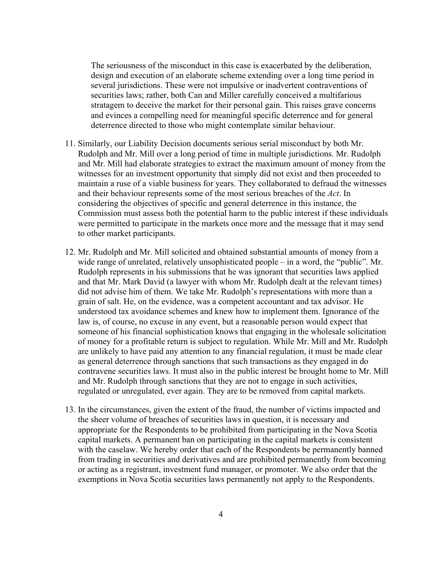The seriousness of the misconduct in this case is exacerbated by the deliberation, design and execution of an elaborate scheme extending over a long time period in several jurisdictions. These were not impulsive or inadvertent contraventions of securities laws; rather, both Can and Miller carefully conceived a multifarious stratagem to deceive the market for their personal gain. This raises grave concerns and evinces a compelling need for meaningful specific deterrence and for general deterrence directed to those who might contemplate similar behaviour.

- 11. Similarly, our Liability Decision documents serious serial misconduct by both Mr. Rudolph and Mr. Mill over a long period of time in multiple jurisdictions. Mr. Rudolph and Mr. Mill had elaborate strategies to extract the maximum amount of money from the witnesses for an investment opportunity that simply did not exist and then proceeded to maintain a ruse of a viable business for years. They collaborated to defraud the witnesses and their behaviour represents some of the most serious breaches of the *Act*. In considering the objectives of specific and general deterrence in this instance, the Commission must assess both the potential harm to the public interest if these individuals were permitted to participate in the markets once more and the message that it may send to other market participants.
- 12. Mr. Rudolph and Mr. Mill solicited and obtained substantial amounts of money from a wide range of unrelated, relatively unsophisticated people – in a word, the "public". Mr. Rudolph represents in his submissions that he was ignorant that securities laws applied and that Mr. Mark David (a lawyer with whom Mr. Rudolph dealt at the relevant times) did not advise him of them. We take Mr. Rudolph's representations with more than a grain of salt. He, on the evidence, was a competent accountant and tax advisor. He understood tax avoidance schemes and knew how to implement them. Ignorance of the law is, of course, no excuse in any event, but a reasonable person would expect that someone of his financial sophistication knows that engaging in the wholesale solicitation of money for a profitable return is subject to regulation. While Mr. Mill and Mr. Rudolph are unlikely to have paid any attention to any financial regulation, it must be made clear as general deterrence through sanctions that such transactions as they engaged in do contravene securities laws. It must also in the public interest be brought home to Mr. Mill and Mr. Rudolph through sanctions that they are not to engage in such activities, regulated or unregulated, ever again. They are to be removed from capital markets.
- 13. In the circumstances, given the extent of the fraud, the number of victims impacted and the sheer volume of breaches of securities laws in question, it is necessary and appropriate for the Respondents to be prohibited from participating in the Nova Scotia capital markets. A permanent ban on participating in the capital markets is consistent with the caselaw. We hereby order that each of the Respondents be permanently banned from trading in securities and derivatives and are prohibited permanently from becoming or acting as a registrant, investment fund manager, or promoter. We also order that the exemptions in Nova Scotia securities laws permanently not apply to the Respondents.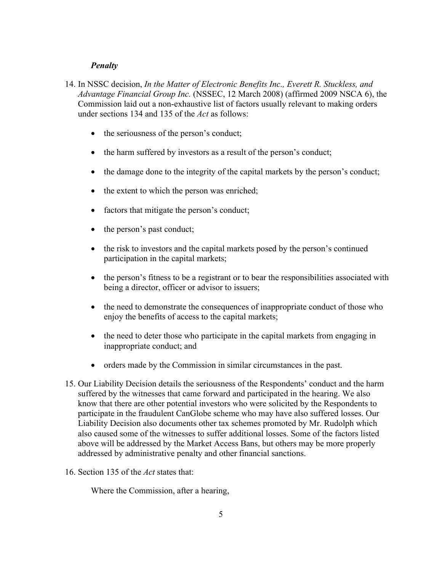### *Penalty*

- 14. In NSSC decision, *In the Matter of Electronic Benefits Inc., Everett R. Stuckless, and Advantage Financial Group Inc.* (NSSEC, 12 March 2008) (affirmed 2009 NSCA 6), the Commission laid out a non-exhaustive list of factors usually relevant to making orders under sections 134 and 135 of the *Act* as follows:
	- the seriousness of the person's conduct;
	- the harm suffered by investors as a result of the person's conduct;
	- the damage done to the integrity of the capital markets by the person's conduct;
	- the extent to which the person was enriched;
	- factors that mitigate the person's conduct;
	- the person's past conduct;
	- the risk to investors and the capital markets posed by the person's continued participation in the capital markets;
	- the person's fitness to be a registrant or to bear the responsibilities associated with being a director, officer or advisor to issuers;
	- the need to demonstrate the consequences of inappropriate conduct of those who enjoy the benefits of access to the capital markets;
	- the need to deter those who participate in the capital markets from engaging in inappropriate conduct; and
	- orders made by the Commission in similar circumstances in the past.
- 15. Our Liability Decision details the seriousness of the Respondents' conduct and the harm suffered by the witnesses that came forward and participated in the hearing. We also know that there are other potential investors who were solicited by the Respondents to participate in the fraudulent CanGlobe scheme who may have also suffered losses. Our Liability Decision also documents other tax schemes promoted by Mr. Rudolph which also caused some of the witnesses to suffer additional losses. Some of the factors listed above will be addressed by the Market Access Bans, but others may be more properly addressed by administrative penalty and other financial sanctions.
- 16. Section 135 of the *Act* states that:

Where the Commission, after a hearing,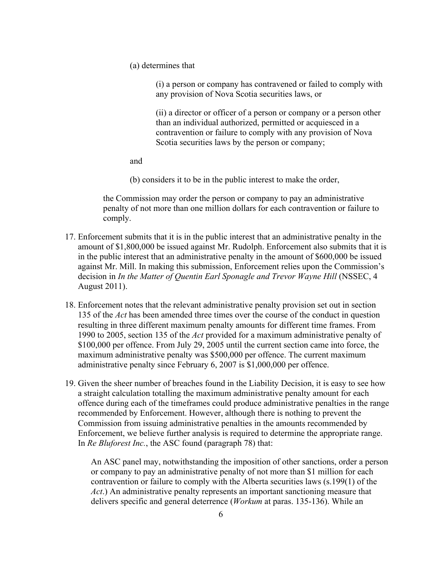(a) determines that

(i) a person or company has contravened or failed to comply with any provision of Nova Scotia securities laws, or

(ii) a director or officer of a person or company or a person other than an individual authorized, permitted or acquiesced in a contravention or failure to comply with any provision of Nova Scotia securities laws by the person or company;

and

(b) considers it to be in the public interest to make the order,

the Commission may order the person or company to pay an administrative penalty of not more than one million dollars for each contravention or failure to comply.

- 17. Enforcement submits that it is in the public interest that an administrative penalty in the amount of \$1,800,000 be issued against Mr. Rudolph. Enforcement also submits that it is in the public interest that an administrative penalty in the amount of \$600,000 be issued against Mr. Mill. In making this submission, Enforcement relies upon the Commission's decision in *In the Matter of Quentin Earl Sponagle and Trevor Wayne Hill* (NSSEC, 4 August 2011).
- 18. Enforcement notes that the relevant administrative penalty provision set out in section 135 of the *Act* has been amended three times over the course of the conduct in question resulting in three different maximum penalty amounts for different time frames. From 1990 to 2005, section 135 of the *Act* provided for a maximum administrative penalty of \$100,000 per offence. From July 29, 2005 until the current section came into force, the maximum administrative penalty was \$500,000 per offence. The current maximum administrative penalty since February 6, 2007 is \$1,000,000 per offence.
- 19. Given the sheer number of breaches found in the Liability Decision, it is easy to see how a straight calculation totalling the maximum administrative penalty amount for each offence during each of the timeframes could produce administrative penalties in the range recommended by Enforcement. However, although there is nothing to prevent the Commission from issuing administrative penalties in the amounts recommended by Enforcement, we believe further analysis is required to determine the appropriate range. In *Re Bluforest Inc.*, the ASC found (paragraph 78) that:

An ASC panel may, notwithstanding the imposition of other sanctions, order a person or company to pay an administrative penalty of not more than \$1 million for each contravention or failure to comply with the Alberta securities laws (s.199(1) of the *Act*.) An administrative penalty represents an important sanctioning measure that delivers specific and general deterrence (*Workum* at paras. 135-136). While an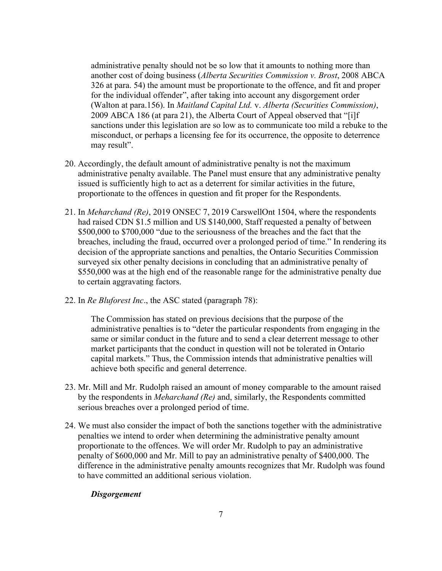administrative penalty should not be so low that it amounts to nothing more than another cost of doing business (*Alberta Securities Commission v. Brost*, 2008 ABCA 326 at para. 54) the amount must be proportionate to the offence, and fit and proper for the individual offender", after taking into account any disgorgement order (Walton at para.156). In *Maitland Capital Ltd.* v. *Alberta (Securities Commission)*, 2009 ABCA 186 (at para 21), the Alberta Court of Appeal observed that "[i]f sanctions under this legislation are so low as to communicate too mild a rebuke to the misconduct, or perhaps a licensing fee for its occurrence, the opposite to deterrence may result".

- 20. Accordingly, the default amount of administrative penalty is not the maximum administrative penalty available. The Panel must ensure that any administrative penalty issued is sufficiently high to act as a deterrent for similar activities in the future, proportionate to the offences in question and fit proper for the Respondents.
- 21. In *Meharchand (Re)*, 2019 ONSEC 7, 2019 CarswellOnt 1504, where the respondents had raised CDN \$1.5 million and US \$140,000, Staff requested a penalty of between \$500,000 to \$700,000 "due to the seriousness of the breaches and the fact that the breaches, including the fraud, occurred over a prolonged period of time." In rendering its decision of the appropriate sanctions and penalties, the Ontario Securities Commission surveyed six other penalty decisions in concluding that an administrative penalty of \$550,000 was at the high end of the reasonable range for the administrative penalty due to certain aggravating factors.
- 22. In *Re Bluforest Inc*., the ASC stated (paragraph 78):

The Commission has stated on previous decisions that the purpose of the administrative penalties is to "deter the particular respondents from engaging in the same or similar conduct in the future and to send a clear deterrent message to other market participants that the conduct in question will not be tolerated in Ontario capital markets." Thus, the Commission intends that administrative penalties will achieve both specific and general deterrence.

- 23. Mr. Mill and Mr. Rudolph raised an amount of money comparable to the amount raised by the respondents in *Meharchand (Re)* and, similarly, the Respondents committed serious breaches over a prolonged period of time.
- 24. We must also consider the impact of both the sanctions together with the administrative penalties we intend to order when determining the administrative penalty amount proportionate to the offences. We will order Mr. Rudolph to pay an administrative penalty of \$600,000 and Mr. Mill to pay an administrative penalty of \$400,000. The difference in the administrative penalty amounts recognizes that Mr. Rudolph was found to have committed an additional serious violation.

#### *Disgorgement*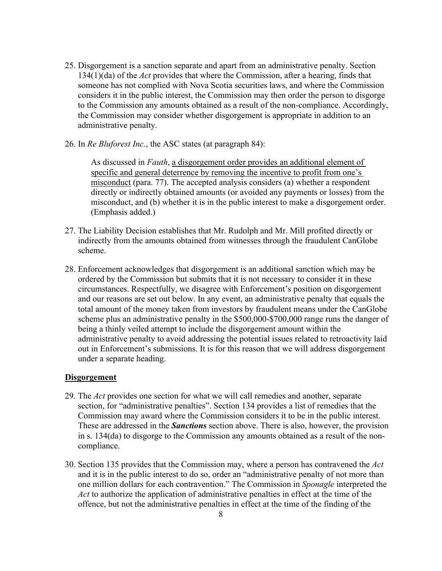- 25. Disgorgement is a sanction separate and apart from an administrative penalty. Section 134(1)(da) of the *Act* provides that where the Commission, after a hearing, finds that someone has not complied with Nova Scotia securities laws, and where the Commission considers it in the public interest, the Commission may then order the person to disgorge to the Commission any amounts obtained as a result of the non-compliance. Accordingly, the Commission may consider whether disgorgement is appropriate in addition to an administrative penalty.
- 26. In *Re Bluforest Inc.*, the ASC states (at paragraph 84):

As discussed in *Fauth*, a disgorgement order provides an additional element of specific and general deterrence by removing the incentive to profit from one's misconduct (para. 77). The accepted analysis considers (a) whether a respondent directly or indirectly obtained amounts (or avoided any payments or losses) from the misconduct, and (b) whether it is in the public interest to make a disgorgement order. (Emphasis added.)

- 27. The Liability Decision establishes that Mr. Rudolph and Mr. Mill profited directly or indirectly from the amounts obtained from witnesses through the fraudulent CanGlobe scheme.
- 28. Enforcement acknowledges that disgorgement is an additional sanction which may be ordered by the Commission but submits that it is not necessary to consider it in these circumstances. Respectfully, we disagree with Enforcement's position on disgorgement and our reasons are set out below. In any event, an administrative penalty that equals the total amount of the money taken from investors by fraudulent means under the CanGlobe scheme plus an administrative penalty in the \$500,000-\$700,000 range runs the danger of being a thinly veiled attempt to include the disgorgement amount within the administrative penalty to avoid addressing the potential issues related to retroactivity laid out in Enforcement's submissions. It is for this reason that we will address disgorgement under a separate heading.

## **Disgorgement**

- 29. The *Act* provides one section for what we will call remedies and another, separate section, for "administrative penalties". Section 134 provides a list of remedies that the Commission may award where the Commission considers it to be in the public interest. These are addressed in the *Sanctions* section above. There is also, however, the provision in s. 134(da) to disgorge to the Commission any amounts obtained as a result of the noncompliance.
- 30. Section 135 provides that the Commission may, where a person has contravened the *Act* and it is in the public interest to do so, order an "administrative penalty of not more than one million dollars for each contravention." The Commission in *Sponagle* interpreted the *Act* to authorize the application of administrative penalties in effect at the time of the offence, but not the administrative penalties in effect at the time of the finding of the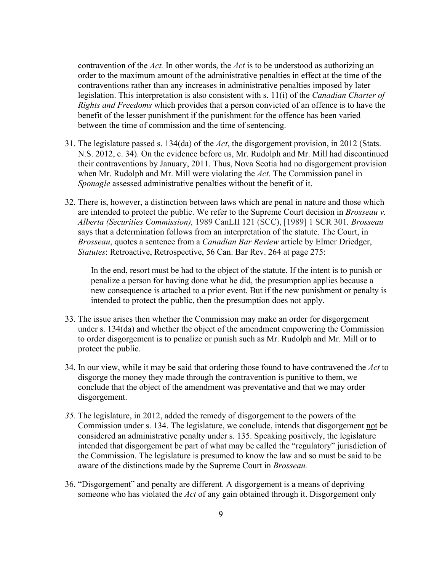contravention of the *Act.* In other words, the *Act* is to be understood as authorizing an order to the maximum amount of the administrative penalties in effect at the time of the contraventions rather than any increases in administrative penalties imposed by later legislation. This interpretation is also consistent with s. 11(i) of the *Canadian Charter of Rights and Freedoms* which provides that a person convicted of an offence is to have the benefit of the lesser punishment if the punishment for the offence has been varied between the time of commission and the time of sentencing.

- 31. The legislature passed s. 134(da) of the *Act*, the disgorgement provision, in 2012 (Stats. N.S. 2012, c. 34). On the evidence before us, Mr. Rudolph and Mr. Mill had discontinued their contraventions by January, 2011. Thus, Nova Scotia had no disgorgement provision when Mr. Rudolph and Mr. Mill were violating the *Act*. The Commission panel in *Sponagle* assessed administrative penalties without the benefit of it.
- 32. There is, however, a distinction between laws which are penal in nature and those which are intended to protect the public. We refer to the Supreme Court decision in *Brosseau v. Alberta (Securities Commission),* 1989 CanLII 121 (SCC), [1989] 1 SCR 301*. Brosseau*  says that a determination follows from an interpretation of the statute. The Court, in *Brosseau*, quotes a sentence from a *Canadian Bar Review* article by Elmer Driedger, *Statutes*: Retroactive, Retrospective, 56 Can. Bar Rev. 264 at page 275:

In the end, resort must be had to the object of the statute. If the intent is to punish or penalize a person for having done what he did, the presumption applies because a new consequence is attached to a prior event. But if the new punishment or penalty is intended to protect the public, then the presumption does not apply.

- 33. The issue arises then whether the Commission may make an order for disgorgement under s. 134(da) and whether the object of the amendment empowering the Commission to order disgorgement is to penalize or punish such as Mr. Rudolph and Mr. Mill or to protect the public.
- 34. In our view, while it may be said that ordering those found to have contravened the *Act* to disgorge the money they made through the contravention is punitive to them, we conclude that the object of the amendment was preventative and that we may order disgorgement.
- *35.* The legislature, in 2012, added the remedy of disgorgement to the powers of the Commission under s. 134. The legislature, we conclude, intends that disgorgement not be considered an administrative penalty under s. 135. Speaking positively, the legislature intended that disgorgement be part of what may be called the "regulatory" jurisdiction of the Commission. The legislature is presumed to know the law and so must be said to be aware of the distinctions made by the Supreme Court in *Brosseau.*
- 36. "Disgorgement" and penalty are different. A disgorgement is a means of depriving someone who has violated the *Act* of any gain obtained through it. Disgorgement only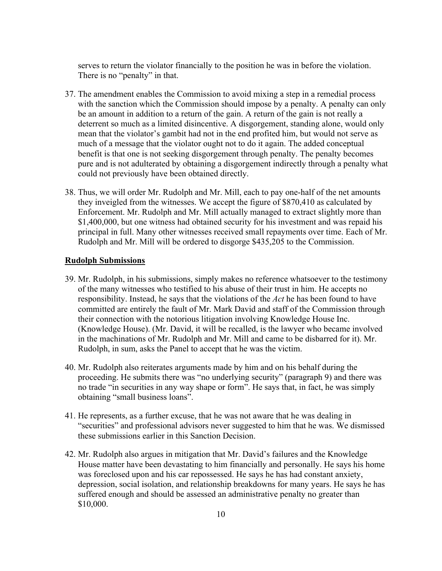serves to return the violator financially to the position he was in before the violation. There is no "penalty" in that.

- 37. The amendment enables the Commission to avoid mixing a step in a remedial process with the sanction which the Commission should impose by a penalty. A penalty can only be an amount in addition to a return of the gain. A return of the gain is not really a deterrent so much as a limited disincentive. A disgorgement, standing alone, would only mean that the violator's gambit had not in the end profited him, but would not serve as much of a message that the violator ought not to do it again. The added conceptual benefit is that one is not seeking disgorgement through penalty. The penalty becomes pure and is not adulterated by obtaining a disgorgement indirectly through a penalty what could not previously have been obtained directly.
- 38. Thus, we will order Mr. Rudolph and Mr. Mill, each to pay one-half of the net amounts they inveigled from the witnesses. We accept the figure of \$870,410 as calculated by Enforcement. Mr. Rudolph and Mr. Mill actually managed to extract slightly more than \$1,400,000, but one witness had obtained security for his investment and was repaid his principal in full. Many other witnesses received small repayments over time. Each of Mr. Rudolph and Mr. Mill will be ordered to disgorge \$435,205 to the Commission.

#### **Rudolph Submissions**

- 39. Mr. Rudolph, in his submissions, simply makes no reference whatsoever to the testimony of the many witnesses who testified to his abuse of their trust in him. He accepts no responsibility. Instead, he says that the violations of the *Act* he has been found to have committed are entirely the fault of Mr. Mark David and staff of the Commission through their connection with the notorious litigation involving Knowledge House Inc. (Knowledge House). (Mr. David, it will be recalled, is the lawyer who became involved in the machinations of Mr. Rudolph and Mr. Mill and came to be disbarred for it). Mr. Rudolph, in sum, asks the Panel to accept that he was the victim.
- 40. Mr. Rudolph also reiterates arguments made by him and on his behalf during the proceeding. He submits there was "no underlying security" (paragraph 9) and there was no trade "in securities in any way shape or form". He says that, in fact, he was simply obtaining "small business loans".
- 41. He represents, as a further excuse, that he was not aware that he was dealing in "securities" and professional advisors never suggested to him that he was. We dismissed these submissions earlier in this Sanction Decision.
- 42. Mr. Rudolph also argues in mitigation that Mr. David's failures and the Knowledge House matter have been devastating to him financially and personally. He says his home was foreclosed upon and his car repossessed. He says he has had constant anxiety, depression, social isolation, and relationship breakdowns for many years. He says he has suffered enough and should be assessed an administrative penalty no greater than \$10,000.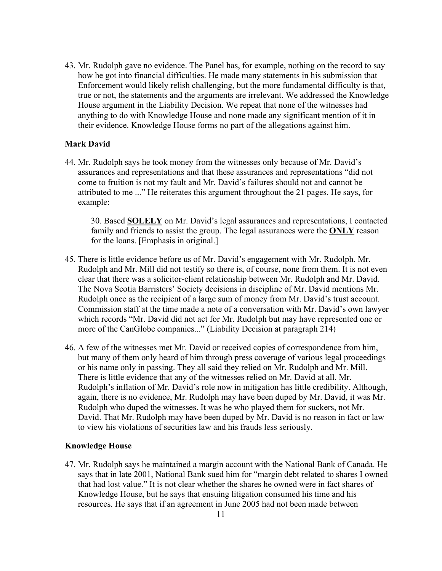43. Mr. Rudolph gave no evidence. The Panel has, for example, nothing on the record to say how he got into financial difficulties. He made many statements in his submission that Enforcement would likely relish challenging, but the more fundamental difficulty is that, true or not, the statements and the arguments are irrelevant. We addressed the Knowledge House argument in the Liability Decision. We repeat that none of the witnesses had anything to do with Knowledge House and none made any significant mention of it in their evidence. Knowledge House forms no part of the allegations against him.

# **Mark David**

44. Mr. Rudolph says he took money from the witnesses only because of Mr. David's assurances and representations and that these assurances and representations "did not come to fruition is not my fault and Mr. David's failures should not and cannot be attributed to me ..." He reiterates this argument throughout the 21 pages. He says, for example:

30. Based **SOLELY** on Mr. David's legal assurances and representations, I contacted family and friends to assist the group. The legal assurances were the **ONLY** reason for the loans. [Emphasis in original.]

- 45. There is little evidence before us of Mr. David's engagement with Mr. Rudolph. Mr. Rudolph and Mr. Mill did not testify so there is, of course, none from them. It is not even clear that there was a solicitor-client relationship between Mr. Rudolph and Mr. David. The Nova Scotia Barristers' Society decisions in discipline of Mr. David mentions Mr. Rudolph once as the recipient of a large sum of money from Mr. David's trust account. Commission staff at the time made a note of a conversation with Mr. David's own lawyer which records "Mr. David did not act for Mr. Rudolph but may have represented one or more of the CanGlobe companies..." (Liability Decision at paragraph 214)
- 46. A few of the witnesses met Mr. David or received copies of correspondence from him, but many of them only heard of him through press coverage of various legal proceedings or his name only in passing. They all said they relied on Mr. Rudolph and Mr. Mill. There is little evidence that any of the witnesses relied on Mr. David at all. Mr. Rudolph's inflation of Mr. David's role now in mitigation has little credibility. Although, again, there is no evidence, Mr. Rudolph may have been duped by Mr. David, it was Mr. Rudolph who duped the witnesses. It was he who played them for suckers, not Mr. David. That Mr. Rudolph may have been duped by Mr. David is no reason in fact or law to view his violations of securities law and his frauds less seriously.

## **Knowledge House**

47. Mr. Rudolph says he maintained a margin account with the National Bank of Canada. He says that in late 2001, National Bank sued him for "margin debt related to shares I owned that had lost value." It is not clear whether the shares he owned were in fact shares of Knowledge House, but he says that ensuing litigation consumed his time and his resources. He says that if an agreement in June 2005 had not been made between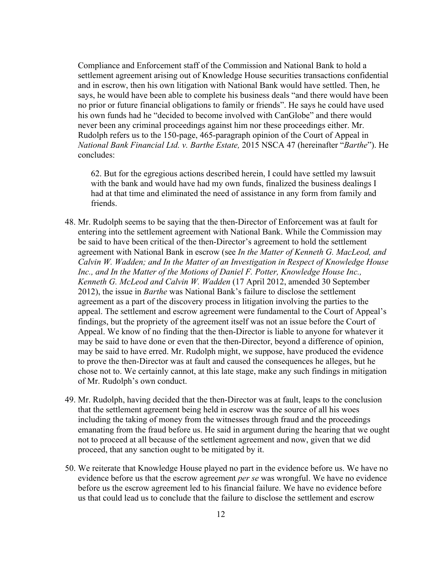Compliance and Enforcement staff of the Commission and National Bank to hold a settlement agreement arising out of Knowledge House securities transactions confidential and in escrow, then his own litigation with National Bank would have settled. Then, he says, he would have been able to complete his business deals "and there would have been no prior or future financial obligations to family or friends". He says he could have used his own funds had he "decided to become involved with CanGlobe" and there would never been any criminal proceedings against him nor these proceedings either. Mr. Rudolph refers us to the 150-page, 465-paragraph opinion of the Court of Appeal in *National Bank Financial Ltd. v. Barthe Estate,* 2015 NSCA 47 (hereinafter "*Barthe*"). He concludes:

62. But for the egregious actions described herein, I could have settled my lawsuit with the bank and would have had my own funds, finalized the business dealings I had at that time and eliminated the need of assistance in any form from family and friends.

- 48. Mr. Rudolph seems to be saying that the then-Director of Enforcement was at fault for entering into the settlement agreement with National Bank. While the Commission may be said to have been critical of the then-Director's agreement to hold the settlement agreement with National Bank in escrow (see *In the Matter of Kenneth G. MacLeod, and Calvin W. Wadden; and In the Matter of an Investigation in Respect of Knowledge House*  Inc., and In the Matter of the Motions of Daniel F. Potter, Knowledge House Inc., *Kenneth G. McLeod and Calvin W. Wadden* (17 April 2012, amended 30 September 2012), the issue in *Barthe* was National Bank's failure to disclose the settlement agreement as a part of the discovery process in litigation involving the parties to the appeal. The settlement and escrow agreement were fundamental to the Court of Appeal's findings, but the propriety of the agreement itself was not an issue before the Court of Appeal. We know of no finding that the then-Director is liable to anyone for whatever it may be said to have done or even that the then-Director, beyond a difference of opinion, may be said to have erred. Mr. Rudolph might, we suppose, have produced the evidence to prove the then-Director was at fault and caused the consequences he alleges, but he chose not to. We certainly cannot, at this late stage, make any such findings in mitigation of Mr. Rudolph's own conduct.
- 49. Mr. Rudolph, having decided that the then-Director was at fault, leaps to the conclusion that the settlement agreement being held in escrow was the source of all his woes including the taking of money from the witnesses through fraud and the proceedings emanating from the fraud before us. He said in argument during the hearing that we ought not to proceed at all because of the settlement agreement and now, given that we did proceed, that any sanction ought to be mitigated by it.
- 50. We reiterate that Knowledge House played no part in the evidence before us. We have no evidence before us that the escrow agreement *per se* was wrongful. We have no evidence before us the escrow agreement led to his financial failure. We have no evidence before us that could lead us to conclude that the failure to disclose the settlement and escrow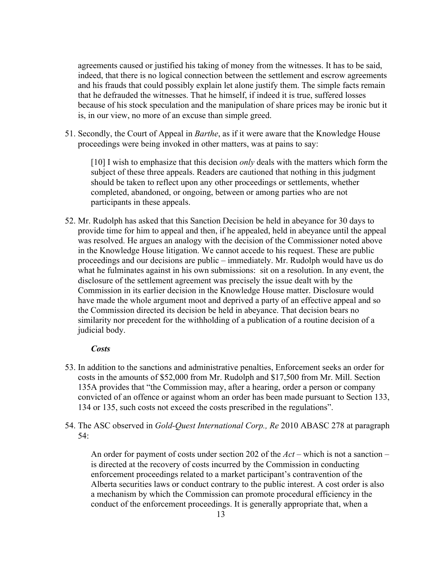agreements caused or justified his taking of money from the witnesses. It has to be said, indeed, that there is no logical connection between the settlement and escrow agreements and his frauds that could possibly explain let alone justify them. The simple facts remain that he defrauded the witnesses. That he himself, if indeed it is true, suffered losses because of his stock speculation and the manipulation of share prices may be ironic but it is, in our view, no more of an excuse than simple greed.

51. Secondly, the Court of Appeal in *Barthe*, as if it were aware that the Knowledge House proceedings were being invoked in other matters, was at pains to say:

[10] I wish to emphasize that this decision *only* deals with the matters which form the subject of these three appeals. Readers are cautioned that nothing in this judgment should be taken to reflect upon any other proceedings or settlements, whether completed, abandoned, or ongoing, between or among parties who are not participants in these appeals.

52. Mr. Rudolph has asked that this Sanction Decision be held in abeyance for 30 days to provide time for him to appeal and then, if he appealed, held in abeyance until the appeal was resolved. He argues an analogy with the decision of the Commissioner noted above in the Knowledge House litigation. We cannot accede to his request. These are public proceedings and our decisions are public – immediately. Mr. Rudolph would have us do what he fulminates against in his own submissions: sit on a resolution. In any event, the disclosure of the settlement agreement was precisely the issue dealt with by the Commission in its earlier decision in the Knowledge House matter. Disclosure would have made the whole argument moot and deprived a party of an effective appeal and so the Commission directed its decision be held in abeyance. That decision bears no similarity nor precedent for the withholding of a publication of a routine decision of a judicial body.

## *Costs*

- 53. In addition to the sanctions and administrative penalties, Enforcement seeks an order for costs in the amounts of \$52,000 from Mr. Rudolph and \$17,500 from Mr. Mill. Section 135A provides that "the Commission may, after a hearing, order a person or company convicted of an offence or against whom an order has been made pursuant to Section 133, 134 or 135, such costs not exceed the costs prescribed in the regulations".
- 54. The ASC observed in *Gold-Quest International Corp., Re* 2010 ABASC 278 at paragraph 54:

An order for payment of costs under section 202 of the *Act* – which is not a sanction – is directed at the recovery of costs incurred by the Commission in conducting enforcement proceedings related to a market participant's contravention of the Alberta securities laws or conduct contrary to the public interest. A cost order is also a mechanism by which the Commission can promote procedural efficiency in the conduct of the enforcement proceedings. It is generally appropriate that, when a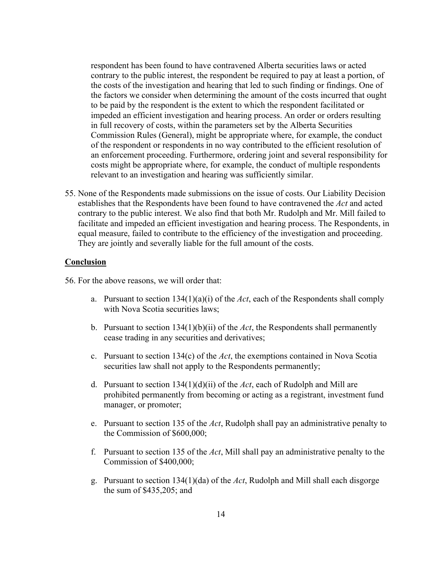respondent has been found to have contravened Alberta securities laws or acted contrary to the public interest, the respondent be required to pay at least a portion, of the costs of the investigation and hearing that led to such finding or findings. One of the factors we consider when determining the amount of the costs incurred that ought to be paid by the respondent is the extent to which the respondent facilitated or impeded an efficient investigation and hearing process. An order or orders resulting in full recovery of costs, within the parameters set by the Alberta Securities Commission Rules (General), might be appropriate where, for example, the conduct of the respondent or respondents in no way contributed to the efficient resolution of an enforcement proceeding. Furthermore, ordering joint and several responsibility for costs might be appropriate where, for example, the conduct of multiple respondents relevant to an investigation and hearing was sufficiently similar.

55. None of the Respondents made submissions on the issue of costs. Our Liability Decision establishes that the Respondents have been found to have contravened the *Act* and acted contrary to the public interest. We also find that both Mr. Rudolph and Mr. Mill failed to facilitate and impeded an efficient investigation and hearing process. The Respondents, in equal measure, failed to contribute to the efficiency of the investigation and proceeding. They are jointly and severally liable for the full amount of the costs.

## **Conclusion**

56. For the above reasons, we will order that:

- a. Pursuant to section 134(1)(a)(i) of the *Act*, each of the Respondents shall comply with Nova Scotia securities laws;
- b. Pursuant to section 134(1)(b)(ii) of the *Act*, the Respondents shall permanently cease trading in any securities and derivatives;
- c. Pursuant to section 134(c) of the *Act*, the exemptions contained in Nova Scotia securities law shall not apply to the Respondents permanently;
- d. Pursuant to section 134(1)(d)(ii) of the *Act*, each of Rudolph and Mill are prohibited permanently from becoming or acting as a registrant, investment fund manager, or promoter;
- e. Pursuant to section 135 of the *Act*, Rudolph shall pay an administrative penalty to the Commission of \$600,000;
- f. Pursuant to section 135 of the *Act*, Mill shall pay an administrative penalty to the Commission of \$400,000;
- g. Pursuant to section 134(1)(da) of the *Act*, Rudolph and Mill shall each disgorge the sum of \$435,205; and